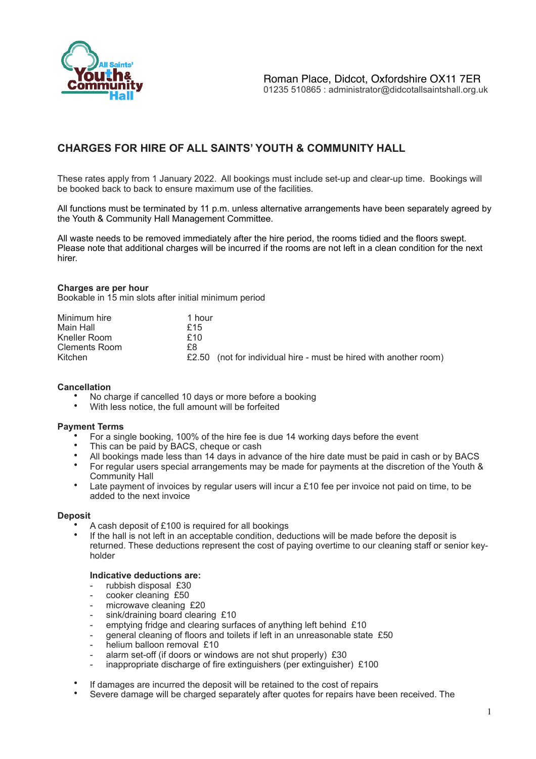

# **CHARGES FOR HIRE OF ALL SAINTS' YOUTH & COMMUNITY HALL**

These rates apply from 1 January 2022. All bookings must include set-up and clear-up time. Bookings will be booked back to back to ensure maximum use of the facilities.

All functions must be terminated by 11 p.m. unless alternative arrangements have been separately agreed by the Youth & Community Hall Management Committee.

All waste needs to be removed immediately after the hire period, the rooms tidied and the floors swept. Please note that additional charges will be incurred if the rooms are not left in a clean condition for the next hirer.

## **Charges are per hour**

Bookable in 15 min slots after initial minimum period

| Minimum hire  | 1 hour                                                            |
|---------------|-------------------------------------------------------------------|
| Main Hall     | £15                                                               |
| Kneller Room  | £10                                                               |
| Clements Room | £8.                                                               |
| Kitchen       | £2.50 (not for individual hire - must be hired with another room) |

## **Cancellation**

- No charge if cancelled 10 days or more before a booking<br>• With loss potice, the full emount will be forfeited
- With less notice, the full amount will be forfeited

## **Payment Terms**

- For a single booking, 100% of the hire fee is due 14 working days before the event
- This can be paid by BACS, cheque or cash
- All bookings made less than 14 days in advance of the hire date must be paid in cash or by BACS
- For regular users special arrangements may be made for payments at the discretion of the Youth & Community Hall
- Late payment of invoices by regular users will incur a £10 fee per invoice not paid on time, to be added to the next invoice

## **Deposit**

- A cash deposit of £100 is required for all bookings
- If the hall is not left in an acceptable condition, deductions will be made before the deposit is returned. These deductions represent the cost of paying overtime to our cleaning staff or senior keyholder

## **Indicative deductions are:**

- rubbish disposal £30
- cooker cleaning £50
- microwave cleaning £20
- sink/draining board clearing £10
- emptying fridge and clearing surfaces of anything left behind £10
- general cleaning of floors and toilets if left in an unreasonable state £50
- helium balloon removal £10
- alarm set-off (if doors or windows are not shut properly) £30
- inappropriate discharge of fire extinguishers (per extinguisher)  $£100$
- If damages are incurred the deposit will be retained to the cost of repairs
- Severe damage will be charged separately after quotes for repairs have been received. The